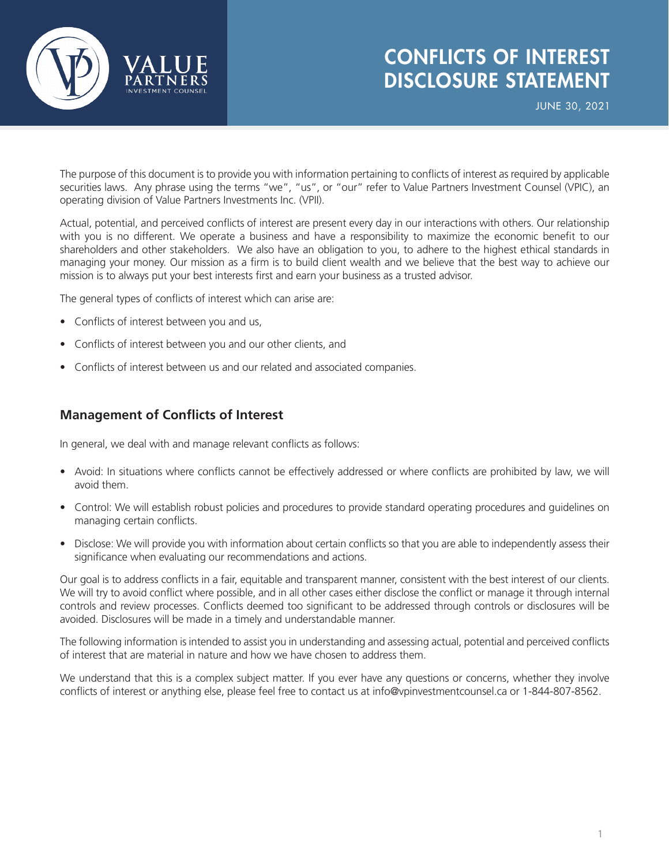

## CONFLICTS OF INTEREST DISCLOSURE STATEMENT

JUNE 30, 2021

The purpose of this document is to provide you with information pertaining to conflicts of interest as required by applicable securities laws. Any phrase using the terms "we", "us", or "our" refer to Value Partners Investment Counsel (VPIC), an operating division of Value Partners Investments Inc. (VPII).

Actual, potential, and perceived conflicts of interest are present every day in our interactions with others. Our relationship with you is no different. We operate a business and have a responsibility to maximize the economic benefit to our shareholders and other stakeholders. We also have an obligation to you, to adhere to the highest ethical standards in managing your money. Our mission as a firm is to build client wealth and we believe that the best way to achieve our mission is to always put your best interests first and earn your business as a trusted advisor.

The general types of conflicts of interest which can arise are:

- Conflicts of interest between you and us,
- Conflicts of interest between you and our other clients, and
- Conflicts of interest between us and our related and associated companies.

## **Management of Conflicts of Interest**

In general, we deal with and manage relevant conflicts as follows:

- Avoid: In situations where conflicts cannot be effectively addressed or where conflicts are prohibited by law, we will avoid them.
- Control: We will establish robust policies and procedures to provide standard operating procedures and guidelines on managing certain conflicts.
- Disclose: We will provide you with information about certain conflicts so that you are able to independently assess their significance when evaluating our recommendations and actions.

Our goal is to address conflicts in a fair, equitable and transparent manner, consistent with the best interest of our clients. We will try to avoid conflict where possible, and in all other cases either disclose the conflict or manage it through internal controls and review processes. Conflicts deemed too significant to be addressed through controls or disclosures will be avoided. Disclosures will be made in a timely and understandable manner.

The following information is intended to assist you in understanding and assessing actual, potential and perceived conflicts of interest that are material in nature and how we have chosen to address them.

We understand that this is a complex subject matter. If you ever have any questions or concerns, whether they involve conflicts of interest or anything else, please feel free to contact us at info@vpinvestmentcounsel.ca or 1-844-807-8562.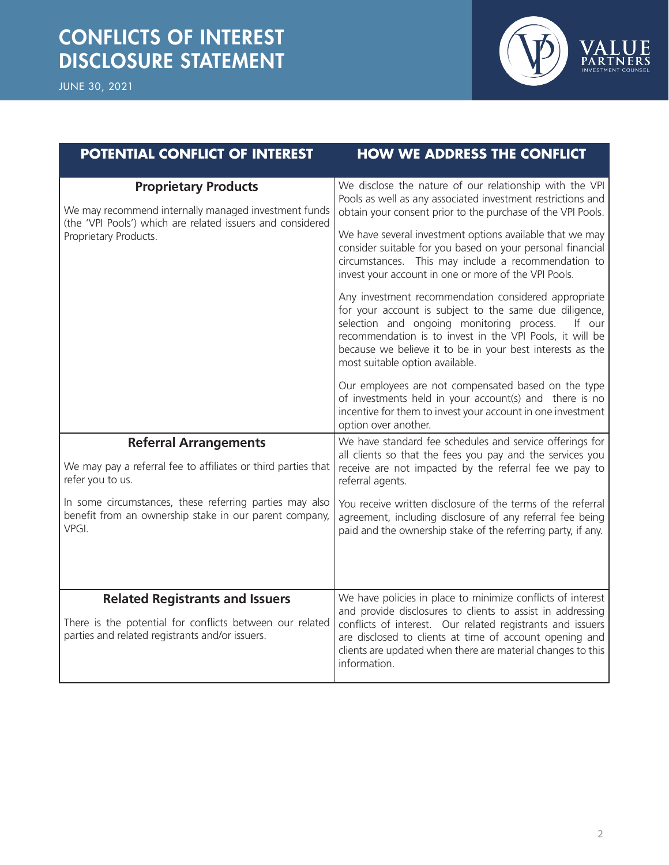

| POTENTIAL CONFLICT OF INTEREST                                                                                                                                             | <b>HOW WE ADDRESS THE CONFLICT</b>                                                                                                                                                                                                                                                                                                                                                                                                                                                                                                                                                                                                                                                                                                                                                                                                                                                                                                                  |
|----------------------------------------------------------------------------------------------------------------------------------------------------------------------------|-----------------------------------------------------------------------------------------------------------------------------------------------------------------------------------------------------------------------------------------------------------------------------------------------------------------------------------------------------------------------------------------------------------------------------------------------------------------------------------------------------------------------------------------------------------------------------------------------------------------------------------------------------------------------------------------------------------------------------------------------------------------------------------------------------------------------------------------------------------------------------------------------------------------------------------------------------|
| <b>Proprietary Products</b><br>We may recommend internally managed investment funds<br>(the 'VPI Pools') which are related issuers and considered<br>Proprietary Products. | We disclose the nature of our relationship with the VPI<br>Pools as well as any associated investment restrictions and<br>obtain your consent prior to the purchase of the VPI Pools.<br>We have several investment options available that we may<br>consider suitable for you based on your personal financial<br>circumstances. This may include a recommendation to<br>invest your account in one or more of the VPI Pools.<br>Any investment recommendation considered appropriate<br>for your account is subject to the same due diligence,<br>selection and ongoing monitoring process.<br>If our<br>recommendation is to invest in the VPI Pools, it will be<br>because we believe it to be in your best interests as the<br>most suitable option available.<br>Our employees are not compensated based on the type<br>of investments held in your account(s) and there is no<br>incentive for them to invest your account in one investment |
|                                                                                                                                                                            | option over another.                                                                                                                                                                                                                                                                                                                                                                                                                                                                                                                                                                                                                                                                                                                                                                                                                                                                                                                                |
| <b>Referral Arrangements</b>                                                                                                                                               | We have standard fee schedules and service offerings for<br>all clients so that the fees you pay and the services you                                                                                                                                                                                                                                                                                                                                                                                                                                                                                                                                                                                                                                                                                                                                                                                                                               |
| We may pay a referral fee to affiliates or third parties that<br>refer you to us.                                                                                          | receive are not impacted by the referral fee we pay to<br>referral agents.                                                                                                                                                                                                                                                                                                                                                                                                                                                                                                                                                                                                                                                                                                                                                                                                                                                                          |
| In some circumstances, these referring parties may also<br>benefit from an ownership stake in our parent company,<br>VPGI.                                                 | You receive written disclosure of the terms of the referral<br>agreement, including disclosure of any referral fee being<br>paid and the ownership stake of the referring party, if any.                                                                                                                                                                                                                                                                                                                                                                                                                                                                                                                                                                                                                                                                                                                                                            |
| <b>Related Registrants and Issuers</b><br>There is the potential for conflicts between our related<br>parties and related registrants and/or issuers.                      | We have policies in place to minimize conflicts of interest<br>and provide disclosures to clients to assist in addressing<br>conflicts of interest. Our related registrants and issuers<br>are disclosed to clients at time of account opening and<br>clients are updated when there are material changes to this<br>information.                                                                                                                                                                                                                                                                                                                                                                                                                                                                                                                                                                                                                   |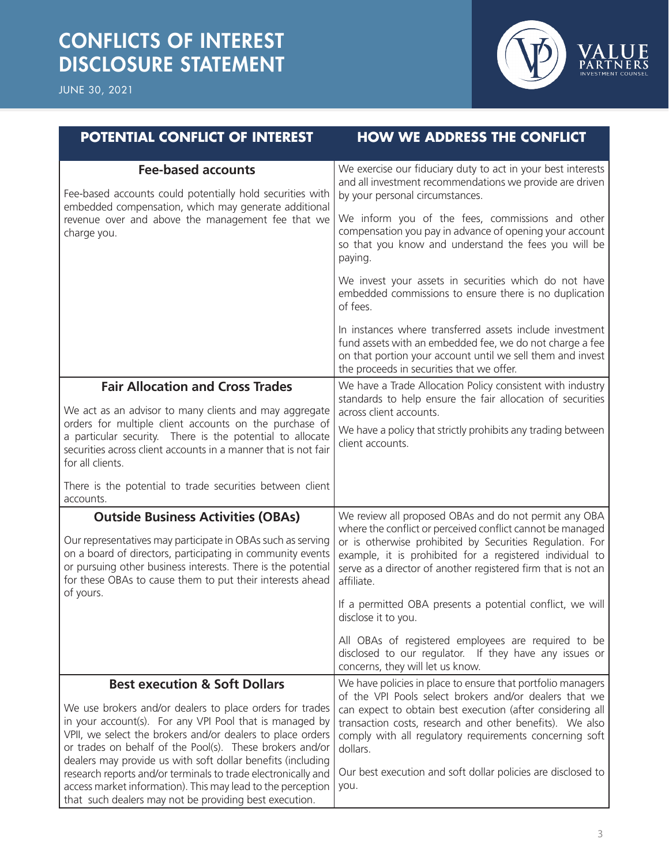## CONFLICTS OF INTEREST DISCLOSURE STATEMENT





| <b>POTENTIAL CONFLICT OF INTEREST</b>                                                                                                                                                                                                                                                                                                                                                                                                                                                                                                              | <b>HOW WE ADDRESS THE CONFLICT</b>                                                                                                                                                                                                                                                                                                                                                             |
|----------------------------------------------------------------------------------------------------------------------------------------------------------------------------------------------------------------------------------------------------------------------------------------------------------------------------------------------------------------------------------------------------------------------------------------------------------------------------------------------------------------------------------------------------|------------------------------------------------------------------------------------------------------------------------------------------------------------------------------------------------------------------------------------------------------------------------------------------------------------------------------------------------------------------------------------------------|
| <b>Fee-based accounts</b><br>Fee-based accounts could potentially hold securities with<br>embedded compensation, which may generate additional<br>revenue over and above the management fee that we<br>charge you.                                                                                                                                                                                                                                                                                                                                 | We exercise our fiduciary duty to act in your best interests<br>and all investment recommendations we provide are driven<br>by your personal circumstances.                                                                                                                                                                                                                                    |
|                                                                                                                                                                                                                                                                                                                                                                                                                                                                                                                                                    | We inform you of the fees, commissions and other<br>compensation you pay in advance of opening your account<br>so that you know and understand the fees you will be<br>paying.                                                                                                                                                                                                                 |
|                                                                                                                                                                                                                                                                                                                                                                                                                                                                                                                                                    | We invest your assets in securities which do not have<br>embedded commissions to ensure there is no duplication<br>of fees.                                                                                                                                                                                                                                                                    |
|                                                                                                                                                                                                                                                                                                                                                                                                                                                                                                                                                    | In instances where transferred assets include investment<br>fund assets with an embedded fee, we do not charge a fee<br>on that portion your account until we sell them and invest<br>the proceeds in securities that we offer.                                                                                                                                                                |
| <b>Fair Allocation and Cross Trades</b>                                                                                                                                                                                                                                                                                                                                                                                                                                                                                                            | We have a Trade Allocation Policy consistent with industry<br>standards to help ensure the fair allocation of securities                                                                                                                                                                                                                                                                       |
| We act as an advisor to many clients and may aggregate<br>orders for multiple client accounts on the purchase of<br>a particular security. There is the potential to allocate<br>securities across client accounts in a manner that is not fair<br>for all clients.                                                                                                                                                                                                                                                                                | across client accounts.<br>We have a policy that strictly prohibits any trading between<br>client accounts.                                                                                                                                                                                                                                                                                    |
| There is the potential to trade securities between client<br>accounts.                                                                                                                                                                                                                                                                                                                                                                                                                                                                             |                                                                                                                                                                                                                                                                                                                                                                                                |
| <b>Outside Business Activities (OBAs)</b><br>Our representatives may participate in OBAs such as serving<br>on a board of directors, participating in community events<br>or pursuing other business interests. There is the potential<br>for these OBAs to cause them to put their interests ahead<br>of yours.                                                                                                                                                                                                                                   | We review all proposed OBAs and do not permit any OBA<br>where the conflict or perceived conflict cannot be managed<br>or is otherwise prohibited by Securities Regulation. For<br>example, it is prohibited for a registered individual to<br>serve as a director of another registered firm that is not an<br>affiliate.                                                                     |
|                                                                                                                                                                                                                                                                                                                                                                                                                                                                                                                                                    | If a permitted OBA presents a potential conflict, we will<br>disclose it to you.                                                                                                                                                                                                                                                                                                               |
|                                                                                                                                                                                                                                                                                                                                                                                                                                                                                                                                                    | All OBAs of registered employees are required to be<br>disclosed to our regulator. If they have any issues or<br>concerns, they will let us know.                                                                                                                                                                                                                                              |
| <b>Best execution &amp; Soft Dollars</b><br>We use brokers and/or dealers to place orders for trades<br>in your account(s). For any VPI Pool that is managed by<br>VPII, we select the brokers and/or dealers to place orders<br>or trades on behalf of the Pool(s). These brokers and/or<br>dealers may provide us with soft dollar benefits (including<br>research reports and/or terminals to trade electronically and<br>access market information). This may lead to the perception<br>that such dealers may not be providing best execution. | We have policies in place to ensure that portfolio managers<br>of the VPI Pools select brokers and/or dealers that we<br>can expect to obtain best execution (after considering all<br>transaction costs, research and other benefits). We also<br>comply with all regulatory requirements concerning soft<br>dollars.<br>Our best execution and soft dollar policies are disclosed to<br>you. |